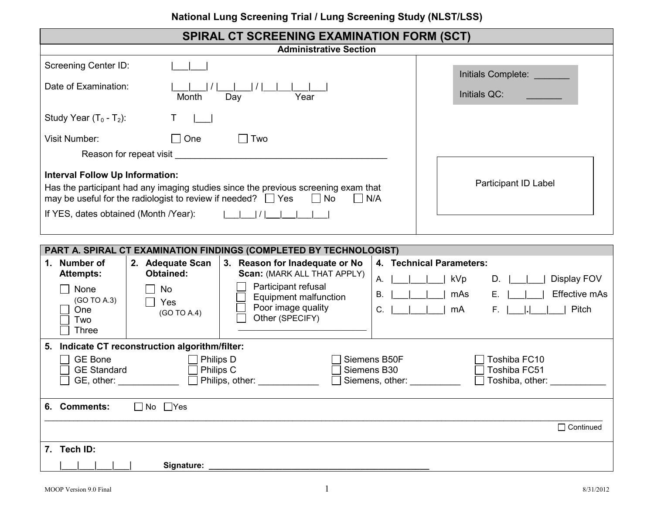## **National Lung Screening Trial / Lung Screening Study (NLST/LSS)**

| <b>SPIRAL CT SCREENING EXAMINATION FORM (SCT)</b>                  |                                                                                                                                                                   |                                                                      |              |                                                      |  |  |
|--------------------------------------------------------------------|-------------------------------------------------------------------------------------------------------------------------------------------------------------------|----------------------------------------------------------------------|--------------|------------------------------------------------------|--|--|
| <b>Administrative Section</b>                                      |                                                                                                                                                                   |                                                                      |              |                                                      |  |  |
| <b>Screening Center ID:</b>                                        |                                                                                                                                                                   |                                                                      |              | Initials Complete:                                   |  |  |
| Date of Examination:                                               | Month<br>Year<br>Day                                                                                                                                              |                                                                      | Initials QC: |                                                      |  |  |
| Study Year $(T_0 - T_2)$ :                                         |                                                                                                                                                                   |                                                                      |              |                                                      |  |  |
| One<br>Two<br>Visit Number:<br>$\Box$                              |                                                                                                                                                                   |                                                                      |              |                                                      |  |  |
|                                                                    |                                                                                                                                                                   | Reason for repeat visit <b>Exercise 2018 Reason for repeat visit</b> |              |                                                      |  |  |
| <b>Interval Follow Up Information:</b>                             | Has the participant had any imaging studies since the previous screening exam that<br>may be useful for the radiologist to review if needed? $\Box$ Yes $\Box$ No | Participant ID Label                                                 |              |                                                      |  |  |
| If YES, dates obtained (Month /Year):<br> /                        |                                                                                                                                                                   |                                                                      |              |                                                      |  |  |
|                                                                    |                                                                                                                                                                   |                                                                      |              |                                                      |  |  |
| PART A. SPIRAL CT EXAMINATION FINDINGS (COMPLETED BY TECHNOLOGIST) |                                                                                                                                                                   |                                                                      |              |                                                      |  |  |
| <b>Number of</b><br>1.<br><b>Attempts:</b>                         | 2. Adequate Scan<br><b>Obtained:</b>                                                                                                                              | 3. Reason for Inadequate or No<br><b>Scan: (MARK ALL THAT APPLY)</b> | А.           | 4. Technical Parameters:<br>kVp<br>Display FOV<br>D. |  |  |
| None<br>(GO TO A.3)                                                | No<br>Yes                                                                                                                                                         | Participant refusal<br>Equipment malfunction<br>Door imaan augusti u | В.           | Effective mAs<br>mAs<br>Е.                           |  |  |

| 1. | Number of<br><b>Attempts:</b>                                                                             | <b>Adequate Scan</b><br>2.<br><b>Obtained:</b> | <b>Reason for Inadequate or No</b><br>3.<br>Scan: (MARK ALL THAT APPLY)                      | 4. Technical Parameters:<br>kVp<br>Display FOV<br>D.<br>А. |                                                 |  |  |
|----|-----------------------------------------------------------------------------------------------------------|------------------------------------------------|----------------------------------------------------------------------------------------------|------------------------------------------------------------|-------------------------------------------------|--|--|
|    | None<br>(GO TO A.3)<br>One<br>Two<br>Three                                                                | No.<br>Yes<br>(GO TO A.4)                      | Participant refusal<br><b>Equipment malfunction</b><br>Poor image quality<br>Other (SPECIFY) | mAs<br>В.<br>C.<br>mA                                      | Effective mAs<br>Е.<br>Pitch<br>F. 1            |  |  |
| 5. | Indicate CT reconstruction algorithm/filter:                                                              |                                                |                                                                                              |                                                            |                                                 |  |  |
|    | <b>GE Bone</b><br>Philips D<br><b>GE Standard</b><br>Philips C<br>Philips, other:<br>$GE$ , other: $\_\_$ |                                                |                                                                                              | Siemens B50F<br>Siemens B30<br>Siemens, other:             | Toshiba FC10<br>Toshiba FC51<br>Toshiba, other: |  |  |
|    | 6. Comments:                                                                                              | $\Box$ No $\Box$ Yes                           |                                                                                              |                                                            |                                                 |  |  |
|    |                                                                                                           |                                                |                                                                                              |                                                            | $\Box$ Continued                                |  |  |
| 7. | Tech ID:                                                                                                  |                                                |                                                                                              |                                                            |                                                 |  |  |
|    |                                                                                                           | Signature:                                     |                                                                                              |                                                            |                                                 |  |  |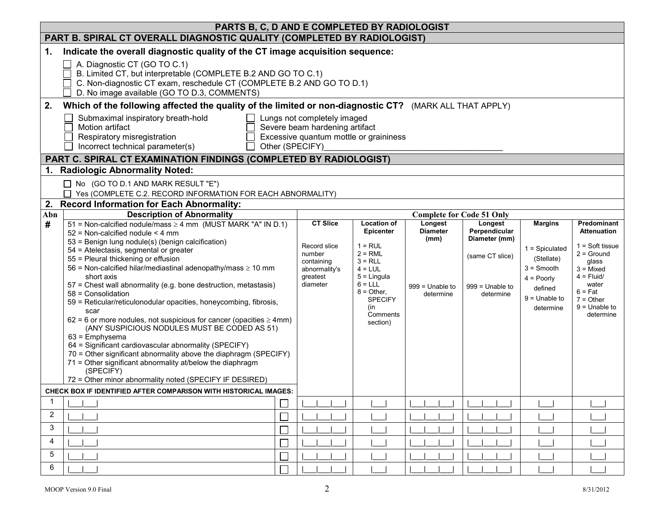| PARTS B, C, D AND E COMPLETED BY RADIOLOGIST |                                                                                                                                                                                                                                                                                                                                                                                                                                                                                                                                                                                                                                                                                                                                                                                                                                                                                                                                                                                               |                                                                                                  |                                                                                                                                                                                           |                                                                      |                                                                                                |                                                                                                                             |                                                                                                                                                                                            |  |
|----------------------------------------------|-----------------------------------------------------------------------------------------------------------------------------------------------------------------------------------------------------------------------------------------------------------------------------------------------------------------------------------------------------------------------------------------------------------------------------------------------------------------------------------------------------------------------------------------------------------------------------------------------------------------------------------------------------------------------------------------------------------------------------------------------------------------------------------------------------------------------------------------------------------------------------------------------------------------------------------------------------------------------------------------------|--------------------------------------------------------------------------------------------------|-------------------------------------------------------------------------------------------------------------------------------------------------------------------------------------------|----------------------------------------------------------------------|------------------------------------------------------------------------------------------------|-----------------------------------------------------------------------------------------------------------------------------|--------------------------------------------------------------------------------------------------------------------------------------------------------------------------------------------|--|
|                                              | PART B. SPIRAL CT OVERALL DIAGNOSTIC QUALITY (COMPLETED BY RADIOLOGIST)                                                                                                                                                                                                                                                                                                                                                                                                                                                                                                                                                                                                                                                                                                                                                                                                                                                                                                                       |                                                                                                  |                                                                                                                                                                                           |                                                                      |                                                                                                |                                                                                                                             |                                                                                                                                                                                            |  |
| 1.                                           | Indicate the overall diagnostic quality of the CT image acquisition sequence:<br>A. Diagnostic CT (GO TO C.1)<br>B. Limited CT, but interpretable (COMPLETE B.2 AND GO TO C.1)<br>C. Non-diagnostic CT exam, reschedule CT (COMPLETE B.2 AND GO TO D.1)<br>D. No image available (GO TO D.3, COMMENTS)                                                                                                                                                                                                                                                                                                                                                                                                                                                                                                                                                                                                                                                                                        |                                                                                                  |                                                                                                                                                                                           |                                                                      |                                                                                                |                                                                                                                             |                                                                                                                                                                                            |  |
| 2.                                           | Which of the following affected the quality of the limited or non-diagnostic CT? (MARK ALL THAT APPLY)                                                                                                                                                                                                                                                                                                                                                                                                                                                                                                                                                                                                                                                                                                                                                                                                                                                                                        |                                                                                                  |                                                                                                                                                                                           |                                                                      |                                                                                                |                                                                                                                             |                                                                                                                                                                                            |  |
|                                              | Submaximal inspiratory breath-hold<br>Lungs not completely imaged<br>Motion artifact<br>Severe beam hardening artifact<br>Respiratory misregistration<br>Excessive quantum mottle or graininess<br>Incorrect technical parameter(s)<br>Other (SPECIFY)<br>PART C. SPIRAL CT EXAMINATION FINDINGS (COMPLETED BY RADIOLOGIST)                                                                                                                                                                                                                                                                                                                                                                                                                                                                                                                                                                                                                                                                   |                                                                                                  |                                                                                                                                                                                           |                                                                      |                                                                                                |                                                                                                                             |                                                                                                                                                                                            |  |
|                                              | <b>Radiologic Abnormality Noted:</b>                                                                                                                                                                                                                                                                                                                                                                                                                                                                                                                                                                                                                                                                                                                                                                                                                                                                                                                                                          |                                                                                                  |                                                                                                                                                                                           |                                                                      |                                                                                                |                                                                                                                             |                                                                                                                                                                                            |  |
|                                              | $\Box$ No (GO TO D.1 AND MARK RESULT "E")<br>Yes (COMPLETE C.2. RECORD INFORMATION FOR EACH ABNORMALITY)                                                                                                                                                                                                                                                                                                                                                                                                                                                                                                                                                                                                                                                                                                                                                                                                                                                                                      |                                                                                                  |                                                                                                                                                                                           |                                                                      |                                                                                                |                                                                                                                             |                                                                                                                                                                                            |  |
| 2.                                           | <b>Record Information for Each Abnormality:</b>                                                                                                                                                                                                                                                                                                                                                                                                                                                                                                                                                                                                                                                                                                                                                                                                                                                                                                                                               |                                                                                                  |                                                                                                                                                                                           |                                                                      |                                                                                                |                                                                                                                             |                                                                                                                                                                                            |  |
| Abn                                          | <b>Description of Abnormality</b>                                                                                                                                                                                                                                                                                                                                                                                                                                                                                                                                                                                                                                                                                                                                                                                                                                                                                                                                                             |                                                                                                  |                                                                                                                                                                                           | <b>Complete for Code 51 Only</b>                                     |                                                                                                |                                                                                                                             |                                                                                                                                                                                            |  |
| #                                            | 51 = Non-calcified nodule/mass $\geq$ 4 mm (MUST MARK "A" IN D.1)<br>52 = Non-calcified nodule < 4 mm<br>53 = Benign lung nodule(s) (benign calcification)<br>54 = Atelectasis, segmental or greater<br>55 = Pleural thickening or effusion<br>56 = Non-calcified hilar/mediastinal adenopathy/mass $\geq 10$ mm<br>short axis<br>57 = Chest wall abnormality (e.g. bone destruction, metastasis)<br>58 = Consolidation<br>59 = Reticular/reticulonodular opacities, honeycombing, fibrosis,<br>scar<br>$62 = 6$ or more nodules, not suspicious for cancer (opacities $\geq 4$ mm)<br>(ANY SUSPICIOUS NODULES MUST BE CODED AS 51)<br>$63$ = Emphysema<br>64 = Significant cardiovascular abnormality (SPECIFY)<br>70 = Other significant abnormality above the diaphragm (SPECIFY)<br>71 = Other significant abnormality at/below the diaphragm<br>(SPECIFY)<br>72 = Other minor abnormality noted (SPECIFY IF DESIRED)<br>CHECK BOX IF IDENTIFIED AFTER COMPARISON WITH HISTORICAL IMAGES: | <b>CT Slice</b><br>Record slice<br>number<br>containing<br>abnormality's<br>greatest<br>diameter | <b>Location of</b><br><b>Epicenter</b><br>$1 = RUL$<br>$2 = RML$<br>$3 = RLL$<br>$4 = LUL$<br>$5 =$ Lingula<br>$6 = LLL$<br>$8 =$ Other,<br><b>SPECIFY</b><br>(in<br>Comments<br>section) | Longest<br><b>Diameter</b><br>(mm)<br>$999 =$ Unable to<br>determine | Longest<br>Perpendicular<br>Diameter (mm)<br>(same CT slice)<br>$999 =$ Unable to<br>determine | <b>Margins</b><br>$1 =$ Spiculated<br>(Stellate)<br>$3 =$ Smooth<br>$4 = Poorly$<br>defined<br>$9 =$ Unable to<br>determine | Predominant<br><b>Attenuation</b><br>$1 = Soft tissue$<br>$2 =$ Ground<br>glass<br>$3 =$ Mixed<br>$4 =$ Fluid/<br>water<br>$6 = \text{Fat}$<br>$7 = Other$<br>$9 =$ Unable to<br>determine |  |
|                                              |                                                                                                                                                                                                                                                                                                                                                                                                                                                                                                                                                                                                                                                                                                                                                                                                                                                                                                                                                                                               |                                                                                                  |                                                                                                                                                                                           |                                                                      |                                                                                                |                                                                                                                             |                                                                                                                                                                                            |  |
| 2                                            |                                                                                                                                                                                                                                                                                                                                                                                                                                                                                                                                                                                                                                                                                                                                                                                                                                                                                                                                                                                               |                                                                                                  |                                                                                                                                                                                           |                                                                      |                                                                                                |                                                                                                                             |                                                                                                                                                                                            |  |
| 3                                            |                                                                                                                                                                                                                                                                                                                                                                                                                                                                                                                                                                                                                                                                                                                                                                                                                                                                                                                                                                                               |                                                                                                  |                                                                                                                                                                                           |                                                                      |                                                                                                |                                                                                                                             |                                                                                                                                                                                            |  |
| 4                                            |                                                                                                                                                                                                                                                                                                                                                                                                                                                                                                                                                                                                                                                                                                                                                                                                                                                                                                                                                                                               |                                                                                                  |                                                                                                                                                                                           |                                                                      |                                                                                                |                                                                                                                             |                                                                                                                                                                                            |  |
| 5                                            |                                                                                                                                                                                                                                                                                                                                                                                                                                                                                                                                                                                                                                                                                                                                                                                                                                                                                                                                                                                               |                                                                                                  |                                                                                                                                                                                           |                                                                      |                                                                                                |                                                                                                                             |                                                                                                                                                                                            |  |
| 6                                            |                                                                                                                                                                                                                                                                                                                                                                                                                                                                                                                                                                                                                                                                                                                                                                                                                                                                                                                                                                                               |                                                                                                  |                                                                                                                                                                                           |                                                                      |                                                                                                |                                                                                                                             |                                                                                                                                                                                            |  |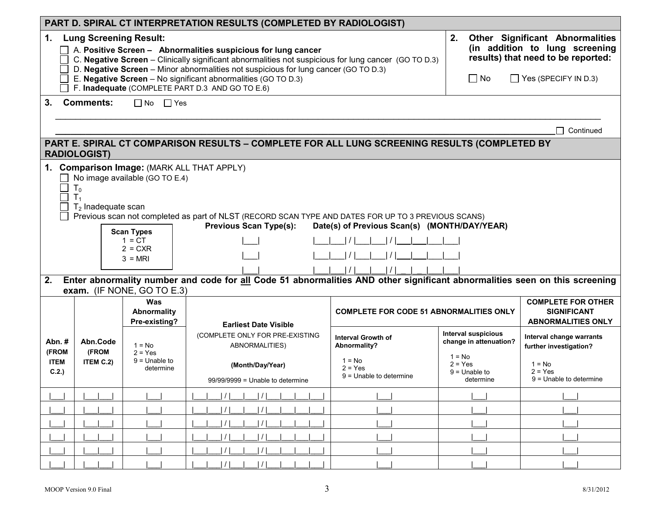| PART D. SPIRAL CT INTERPRETATION RESULTS (COMPLETED BY RADIOLOGIST)                                                                                                                                                                                                                                                                                                                                                                                                                                                    |                                                                                                                     |                                                                                                                                                                                                                                                                                                                                                                                  |                                                                                                             |                                                                                                                                               |                                                                                                        |                                                                                                          |  |  |  |
|------------------------------------------------------------------------------------------------------------------------------------------------------------------------------------------------------------------------------------------------------------------------------------------------------------------------------------------------------------------------------------------------------------------------------------------------------------------------------------------------------------------------|---------------------------------------------------------------------------------------------------------------------|----------------------------------------------------------------------------------------------------------------------------------------------------------------------------------------------------------------------------------------------------------------------------------------------------------------------------------------------------------------------------------|-------------------------------------------------------------------------------------------------------------|-----------------------------------------------------------------------------------------------------------------------------------------------|--------------------------------------------------------------------------------------------------------|----------------------------------------------------------------------------------------------------------|--|--|--|
| $\mathbf 1$ .                                                                                                                                                                                                                                                                                                                                                                                                                                                                                                          | <b>Lung Screening Result:</b>                                                                                       | A. Positive Screen - Abnormalities suspicious for lung cancer<br>C. Negative Screen - Clinically significant abnormalities not suspicious for lung cancer (GO TO D.3)<br>D. Negative Screen - Minor abnormalities not suspicious for lung cancer (GO TO D.3)<br>E. Negative Screen - No significant abnormalities (GO TO D.3)<br>F. Inadequate (COMPLETE PART D.3 AND GO TO E.6) | 2.<br>$\Box$ No                                                                                             | <b>Other Significant Abnormalities</b><br>(in addition to lung screening<br>results) that need to be reported:<br>$\Box$ Yes (SPECIFY IN D.3) |                                                                                                        |                                                                                                          |  |  |  |
| 3.                                                                                                                                                                                                                                                                                                                                                                                                                                                                                                                     | <b>Comments:</b><br>$\Box$ No<br>$\Box$ Yes<br>Continued                                                            |                                                                                                                                                                                                                                                                                                                                                                                  |                                                                                                             |                                                                                                                                               |                                                                                                        |                                                                                                          |  |  |  |
|                                                                                                                                                                                                                                                                                                                                                                                                                                                                                                                        | PART E. SPIRAL CT COMPARISON RESULTS - COMPLETE FOR ALL LUNG SCREENING RESULTS (COMPLETED BY<br><b>RADIOLOGIST)</b> |                                                                                                                                                                                                                                                                                                                                                                                  |                                                                                                             |                                                                                                                                               |                                                                                                        |                                                                                                          |  |  |  |
| 1. Comparison Image: (MARK ALL THAT APPLY)<br>No image available (GO TO E.4)<br>T <sub>0</sub><br>$T_1$<br>$T2$ Inadequate scan<br>Previous scan not completed as part of NLST (RECORD SCAN TYPE AND DATES FOR UP TO 3 PREVIOUS SCANS)<br><b>Previous Scan Type(s):</b><br>Date(s) of Previous Scan(s) (MONTH/DAY/YEAR)<br><b>Scan Types</b><br>$1 = CT$<br>$2 = CXR$<br>$3 = MRI$<br>Enter abnormality number and code for all Code 51 abnormalities AND other significant abnormalities seen on this screening<br>2. |                                                                                                                     |                                                                                                                                                                                                                                                                                                                                                                                  |                                                                                                             |                                                                                                                                               |                                                                                                        |                                                                                                          |  |  |  |
| exam. (IF NONE, GO TO E.3)<br>Was                                                                                                                                                                                                                                                                                                                                                                                                                                                                                      |                                                                                                                     | Abnormality<br>Pre-existing?                                                                                                                                                                                                                                                                                                                                                     | <b>Earliest Date Visible</b>                                                                                | <b>COMPLETE FOR CODE 51 ABNORMALITIES ONLY</b>                                                                                                |                                                                                                        | <b>COMPLETE FOR OTHER</b><br><b>SIGNIFICANT</b><br><b>ABNORMALITIES ONLY</b>                             |  |  |  |
| Abn.#<br>(FROM<br><b>ITEM</b><br>C.2.)                                                                                                                                                                                                                                                                                                                                                                                                                                                                                 | Abn.Code<br>(FROM<br>ITEM C.2)                                                                                      | $1 = No$<br>$2 = Yes$<br>$9 =$ Unable to<br>determine                                                                                                                                                                                                                                                                                                                            | (COMPLETE ONLY FOR PRE-EXISTING<br>ABNORMALITIES)<br>(Month/Day/Year)<br>$99/99/9999$ = Unable to determine | <b>Interval Growth of</b><br>Abnormality?<br>$1 = No$<br>$2 = Yes$<br>$9$ = Unable to determine                                               | Interval suspicious<br>change in attenuation?<br>$1 = No$<br>$2 = Yes$<br>$9 =$ Unable to<br>determine | Interval change warrants<br>further investigation?<br>$1 = No$<br>$2 = Yes$<br>$9 =$ Unable to determine |  |  |  |
|                                                                                                                                                                                                                                                                                                                                                                                                                                                                                                                        |                                                                                                                     |                                                                                                                                                                                                                                                                                                                                                                                  | $\frac{1}{2}$                                                                                               |                                                                                                                                               |                                                                                                        |                                                                                                          |  |  |  |
|                                                                                                                                                                                                                                                                                                                                                                                                                                                                                                                        |                                                                                                                     |                                                                                                                                                                                                                                                                                                                                                                                  |                                                                                                             |                                                                                                                                               |                                                                                                        |                                                                                                          |  |  |  |
|                                                                                                                                                                                                                                                                                                                                                                                                                                                                                                                        |                                                                                                                     |                                                                                                                                                                                                                                                                                                                                                                                  |                                                                                                             |                                                                                                                                               |                                                                                                        |                                                                                                          |  |  |  |
|                                                                                                                                                                                                                                                                                                                                                                                                                                                                                                                        |                                                                                                                     |                                                                                                                                                                                                                                                                                                                                                                                  |                                                                                                             |                                                                                                                                               |                                                                                                        |                                                                                                          |  |  |  |
|                                                                                                                                                                                                                                                                                                                                                                                                                                                                                                                        |                                                                                                                     |                                                                                                                                                                                                                                                                                                                                                                                  |                                                                                                             |                                                                                                                                               |                                                                                                        |                                                                                                          |  |  |  |
|                                                                                                                                                                                                                                                                                                                                                                                                                                                                                                                        |                                                                                                                     |                                                                                                                                                                                                                                                                                                                                                                                  | 1/1<br>1/1                                                                                                  |                                                                                                                                               |                                                                                                        |                                                                                                          |  |  |  |